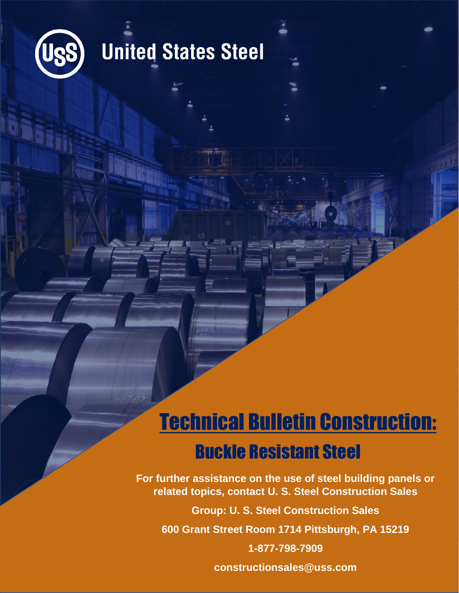

## **United States Steel**

## Technical Bulletin Construction: Buckle Resistant Steel

**For further assistance on the use of steel building panels or related topics, contact U. S. Steel Construction Sales**

**Group: U. S. Steel Construction Sales**

**600 Grant Street Room 1714 Pittsburgh, PA 15219**

**1-877-798-7909**

**constructionsales@uss.com**